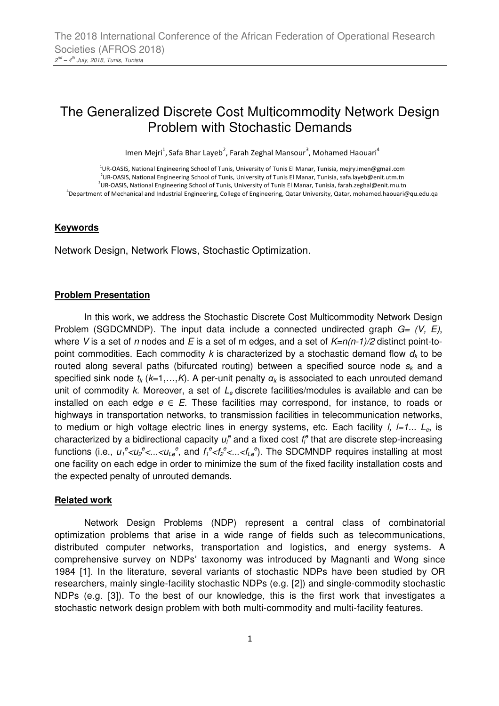# The Generalized Discrete Cost Multicommodity Network Design Problem with Stochastic Demands

Imen Mejri<sup>1</sup>, Safa Bhar Layeb<sup>2</sup>, Farah Zeghal Mansour<sup>3</sup>, Mohamed Haouari<sup>4</sup>

 UR-OASIS, National Engineering School of Tunis, University of Tunis El Manar, Tunisia, mejry.imen@gmail.com UR-OASIS, National Engineering School of Tunis, University of Tunis El Manar, Tunisia, safa.layeb@enit.utm.tn UR-OASIS, National Engineering School of Tunis, University of Tunis El Manar, Tunisia, farah.zeghal@enit.rnu.tn Department of Mechanical and Industrial Engineering, College of Engineering, Qatar University, Qatar, mohamed.haouari@qu.edu.qa

#### **Keywords**

Network Design, Network Flows, Stochastic Optimization.

#### **Problem Presentation**

In this work, we address the Stochastic Discrete Cost Multicommodity Network Design Problem (SGDCMNDP). The input data include a connected undirected graph  $G = (V, E)$ , where V is a set of n nodes and E is a set of m edges, and a set of  $K=n(n-1)/2$  distinct point-topoint commodities. Each commodity k is characterized by a stochastic demand flow  $d_k$  to be routed along several paths (bifurcated routing) between a specified source node  $s_k$  and a specified sink node  $t_k$  ( $k=1,...,K$ ). A per-unit penalty  $\alpha_k$  is associated to each unrouted demand unit of commodity k. Moreover, a set of  $L<sub>e</sub>$  discrete facilities/modules is available and can be installed on each edge  $e \in E$ . These facilities may correspond, for instance, to roads or highways in transportation networks, to transmission facilities in telecommunication networks, to medium or high voltage electric lines in energy systems, etc. Each facility *l, l=1...*  $L<sub>e</sub>$ , is characterized by a bidirectional capacity  $u_l^e$  and a fixed cost  $f_l^e$  that are discrete step-increasing functions (i.e.,  $u_1^e$ < $u_2^e$ <...< $u_{Le}^e$ , and  $f_1^e$ < $f_2^e$ <...< $f_{Le}^e$ ). The SDCMNDP requires installing at most one facility on each edge in order to minimize the sum of the fixed facility installation costs and the expected penalty of unrouted demands.

#### **Related work**

Network Design Problems (NDP) represent a central class of combinatorial optimization problems that arise in a wide range of fields such as telecommunications, distributed computer networks, transportation and logistics, and energy systems. A comprehensive survey on NDPs' taxonomy was introduced by Magnanti and Wong since 1984 [1]. In the literature, several variants of stochastic NDPs have been studied by OR researchers, mainly single-facility stochastic NDPs (e.g. [2]) and single-commodity stochastic NDPs (e.g. [3]). To the best of our knowledge, this is the first work that investigates a stochastic network design problem with both multi-commodity and multi-facility features.